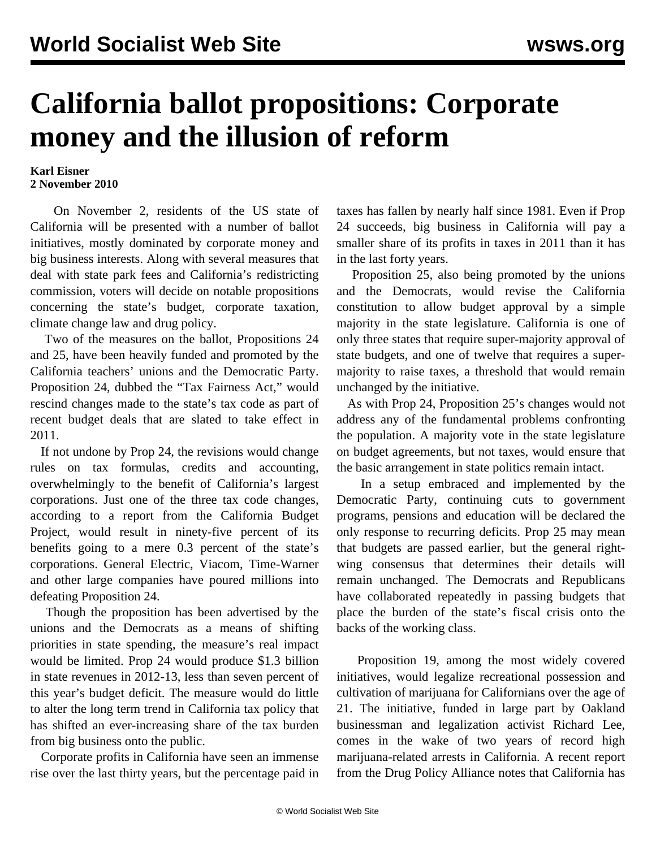## **California ballot propositions: Corporate money and the illusion of reform**

## **Karl Eisner 2 November 2010**

 On November 2, residents of the US state of California will be presented with a number of ballot initiatives, mostly dominated by corporate money and big business interests. Along with several measures that deal with state park fees and California's redistricting commission, voters will decide on notable propositions concerning the state's budget, corporate taxation, climate change law and drug policy.

 Two of the measures on the ballot, Propositions 24 and 25, have been heavily funded and promoted by the California teachers' unions and the Democratic Party. Proposition 24, dubbed the "Tax Fairness Act," would rescind changes made to the state's tax code as part of recent budget deals that are slated to take effect in 2011.

 If not undone by Prop 24, the revisions would change rules on tax formulas, credits and accounting, overwhelmingly to the benefit of California's largest corporations. Just one of the three tax code changes, according to a report from the California Budget Project, would result in ninety-five percent of its benefits going to a mere 0.3 percent of the state's corporations. General Electric, Viacom, Time-Warner and other large companies have poured millions into defeating Proposition 24.

 Though the proposition has been advertised by the unions and the Democrats as a means of shifting priorities in state spending, the measure's real impact would be limited. Prop 24 would produce \$1.3 billion in state revenues in 2012-13, less than seven percent of this year's budget deficit. The measure would do little to alter the long term trend in California tax policy that has shifted an ever-increasing share of the tax burden from big business onto the public.

 Corporate profits in California have seen an immense rise over the last thirty years, but the percentage paid in taxes has fallen by nearly half since 1981. Even if Prop 24 succeeds, big business in California will pay a smaller share of its profits in taxes in 2011 than it has in the last forty years.

 Proposition 25, also being promoted by the unions and the Democrats, would revise the California constitution to allow budget approval by a simple majority in the state legislature. California is one of only three states that require super-majority approval of state budgets, and one of twelve that requires a supermajority to raise taxes, a threshold that would remain unchanged by the initiative.

 As with Prop 24, Proposition 25's changes would not address any of the fundamental problems confronting the population. A majority vote in the state legislature on budget agreements, but not taxes, would ensure that the basic arrangement in state politics remain intact.

 In a setup embraced and implemented by the Democratic Party, continuing cuts to government programs, pensions and education will be declared the only response to recurring deficits. Prop 25 may mean that budgets are passed earlier, but the general rightwing consensus that determines their details will remain unchanged. The Democrats and Republicans have collaborated repeatedly in passing budgets that place the burden of the state's fiscal crisis onto the backs of the working class.

 Proposition 19, among the most widely covered initiatives, would legalize recreational possession and cultivation of marijuana for Californians over the age of 21. The initiative, funded in large part by Oakland businessman and legalization activist Richard Lee, comes in the wake of two years of record high marijuana-related arrests in California. A recent report from the Drug Policy Alliance notes that California has